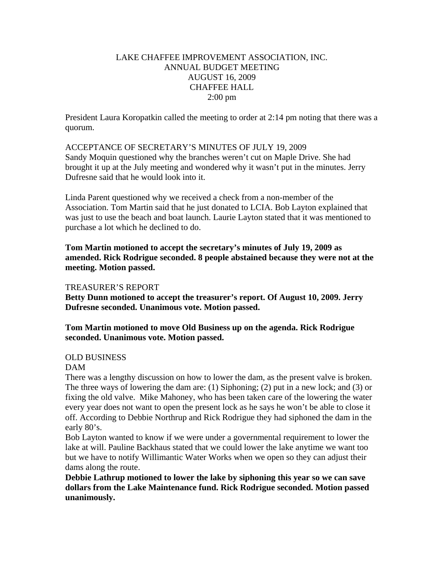# LAKE CHAFFEE IMPROVEMENT ASSOCIATION, INC. ANNUAL BUDGET MEETING AUGUST 16, 2009 CHAFFEE HALL 2:00 pm

President Laura Koropatkin called the meeting to order at 2:14 pm noting that there was a quorum.

ACCEPTANCE OF SECRETARY'S MINUTES OF JULY 19, 2009 Sandy Moquin questioned why the branches weren't cut on Maple Drive. She had brought it up at the July meeting and wondered why it wasn't put in the minutes. Jerry Dufresne said that he would look into it.

Linda Parent questioned why we received a check from a non-member of the Association. Tom Martin said that he just donated to LCIA. Bob Layton explained that was just to use the beach and boat launch. Laurie Layton stated that it was mentioned to purchase a lot which he declined to do.

**Tom Martin motioned to accept the secretary's minutes of July 19, 2009 as amended. Rick Rodrigue seconded. 8 people abstained because they were not at the meeting. Motion passed.** 

## TREASURER'S REPORT

**Betty Dunn motioned to accept the treasurer's report. Of August 10, 2009. Jerry Dufresne seconded. Unanimous vote. Motion passed.** 

**Tom Martin motioned to move Old Business up on the agenda. Rick Rodrigue seconded. Unanimous vote. Motion passed.** 

## OLD BUSINESS

#### DAM

There was a lengthy discussion on how to lower the dam, as the present valve is broken. The three ways of lowering the dam are: (1) Siphoning; (2) put in a new lock; and (3) or fixing the old valve. Mike Mahoney, who has been taken care of the lowering the water every year does not want to open the present lock as he says he won't be able to close it off. According to Debbie Northrup and Rick Rodrigue they had siphoned the dam in the early 80's.

Bob Layton wanted to know if we were under a governmental requirement to lower the lake at will. Pauline Backhaus stated that we could lower the lake anytime we want too but we have to notify Willimantic Water Works when we open so they can adjust their dams along the route.

**Debbie Lathrup motioned to lower the lake by siphoning this year so we can save dollars from the Lake Maintenance fund. Rick Rodrigue seconded. Motion passed unanimously.**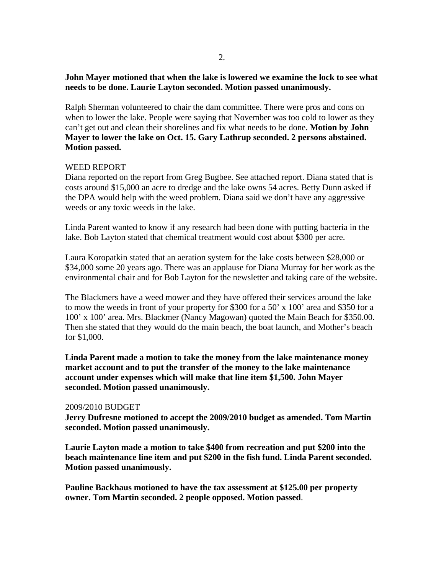# **John Mayer motioned that when the lake is lowered we examine the lock to see what needs to be done. Laurie Layton seconded. Motion passed unanimously.**

Ralph Sherman volunteered to chair the dam committee. There were pros and cons on when to lower the lake. People were saying that November was too cold to lower as they can't get out and clean their shorelines and fix what needs to be done. **Motion by John Mayer to lower the lake on Oct. 15. Gary Lathrup seconded. 2 persons abstained. Motion passed.** 

# WEED REPORT

Diana reported on the report from Greg Bugbee. See attached report. Diana stated that is costs around \$15,000 an acre to dredge and the lake owns 54 acres. Betty Dunn asked if the DPA would help with the weed problem. Diana said we don't have any aggressive weeds or any toxic weeds in the lake.

Linda Parent wanted to know if any research had been done with putting bacteria in the lake. Bob Layton stated that chemical treatment would cost about \$300 per acre.

Laura Koropatkin stated that an aeration system for the lake costs between \$28,000 or \$34,000 some 20 years ago. There was an applause for Diana Murray for her work as the environmental chair and for Bob Layton for the newsletter and taking care of the website.

The Blackmers have a weed mower and they have offered their services around the lake to mow the weeds in front of your property for \$300 for a 50' x 100' area and \$350 for a 100' x 100' area. Mrs. Blackmer (Nancy Magowan) quoted the Main Beach for \$350.00. Then she stated that they would do the main beach, the boat launch, and Mother's beach for \$1,000.

**Linda Parent made a motion to take the money from the lake maintenance money market account and to put the transfer of the money to the lake maintenance account under expenses which will make that line item \$1,500. John Mayer seconded. Motion passed unanimously.** 

## 2009/2010 BUDGET

**Jerry Dufresne motioned to accept the 2009/2010 budget as amended. Tom Martin seconded. Motion passed unanimously.** 

**Laurie Layton made a motion to take \$400 from recreation and put \$200 into the beach maintenance line item and put \$200 in the fish fund. Linda Parent seconded. Motion passed unanimously.** 

**Pauline Backhaus motioned to have the tax assessment at \$125.00 per property owner. Tom Martin seconded. 2 people opposed. Motion passed**.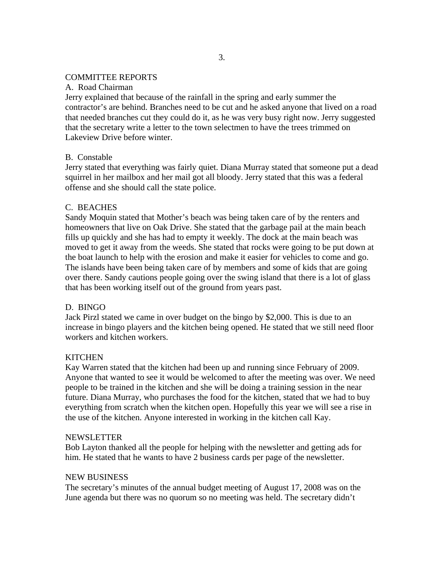### COMMITTEE REPORTS

## A. Road Chairman

Jerry explained that because of the rainfall in the spring and early summer the contractor's are behind. Branches need to be cut and he asked anyone that lived on a road that needed branches cut they could do it, as he was very busy right now. Jerry suggested that the secretary write a letter to the town selectmen to have the trees trimmed on Lakeview Drive before winter.

## B. Constable

Jerry stated that everything was fairly quiet. Diana Murray stated that someone put a dead squirrel in her mailbox and her mail got all bloody. Jerry stated that this was a federal offense and she should call the state police.

### C. BEACHES

Sandy Moquin stated that Mother's beach was being taken care of by the renters and homeowners that live on Oak Drive. She stated that the garbage pail at the main beach fills up quickly and she has had to empty it weekly. The dock at the main beach was moved to get it away from the weeds. She stated that rocks were going to be put down at the boat launch to help with the erosion and make it easier for vehicles to come and go. The islands have been being taken care of by members and some of kids that are going over there. Sandy cautions people going over the swing island that there is a lot of glass that has been working itself out of the ground from years past.

#### D. BINGO

Jack Pirzl stated we came in over budget on the bingo by \$2,000. This is due to an increase in bingo players and the kitchen being opened. He stated that we still need floor workers and kitchen workers.

#### **KITCHEN**

Kay Warren stated that the kitchen had been up and running since February of 2009. Anyone that wanted to see it would be welcomed to after the meeting was over. We need people to be trained in the kitchen and she will be doing a training session in the near future. Diana Murray, who purchases the food for the kitchen, stated that we had to buy everything from scratch when the kitchen open. Hopefully this year we will see a rise in the use of the kitchen. Anyone interested in working in the kitchen call Kay.

#### NEWSLETTER

Bob Layton thanked all the people for helping with the newsletter and getting ads for him. He stated that he wants to have 2 business cards per page of the newsletter.

#### NEW BUSINESS

The secretary's minutes of the annual budget meeting of August 17, 2008 was on the June agenda but there was no quorum so no meeting was held. The secretary didn't